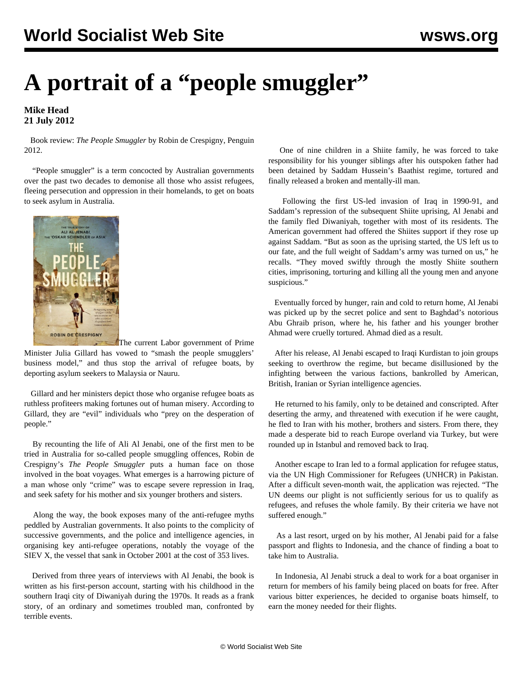## **A portrait of a "people smuggler"**

## **Mike Head 21 July 2012**

 Book review: *The People Smuggler* by Robin de Crespigny, Penguin 2012.

 "People smuggler" is a term concocted by Australian governments over the past two decades to demonise all those who assist refugees, fleeing persecution and oppression in their homelands, to get on boats to seek asylum in Australia.



The current Labor government of Prime Minister Julia Gillard has vowed to "smash the people smugglers' business model," and thus stop the arrival of refugee boats, by deporting asylum seekers to Malaysia or Nauru.

 Gillard and her ministers depict those who organise refugee boats as ruthless profiteers making fortunes out of human misery. According to Gillard, they are "evil" individuals who "prey on the desperation of people."

 By recounting the life of Ali Al Jenabi, one of the first men to be tried in Australia for so-called people smuggling offences, Robin de Crespigny's *The People Smuggler* puts a human face on those involved in the boat voyages. What emerges is a harrowing picture of a man whose only "crime" was to escape severe repression in Iraq, and seek safety for his mother and six younger brothers and sisters.

 Along the way, the book exposes many of the anti-refugee myths peddled by Australian governments. It also points to the complicity of successive governments, and the police and intelligence agencies, in organising key anti-refugee operations, notably the voyage of the SIEV X, the vessel that sank in October 2001 at the cost of 353 lives.

 Derived from three years of interviews with Al Jenabi, the book is written as his first-person account, starting with his childhood in the southern Iraqi city of Diwaniyah during the 1970s. It reads as a frank story, of an ordinary and sometimes troubled man, confronted by terrible events.

 One of nine children in a Shiite family, he was forced to take responsibility for his younger siblings after his outspoken father had been detained by Saddam Hussein's Baathist regime, tortured and finally released a broken and mentally-ill man.

 Following the first US-led invasion of Iraq in 1990-91, and Saddam's repression of the subsequent Shiite uprising, Al Jenabi and the family fled Diwaniyah, together with most of its residents. The American government had offered the Shiites support if they rose up against Saddam. "But as soon as the uprising started, the US left us to our fate, and the full weight of Saddam's army was turned on us," he recalls. "They moved swiftly through the mostly Shiite southern cities, imprisoning, torturing and killing all the young men and anyone suspicious."

 Eventually forced by hunger, rain and cold to return home, Al Jenabi was picked up by the secret police and sent to Baghdad's notorious Abu Ghraib prison, where he, his father and his younger brother Ahmad were cruelly tortured. Ahmad died as a result.

 After his release, Al Jenabi escaped to Iraqi Kurdistan to join groups seeking to overthrow the regime, but became disillusioned by the infighting between the various factions, bankrolled by American, British, Iranian or Syrian intelligence agencies.

 He returned to his family, only to be detained and conscripted. After deserting the army, and threatened with execution if he were caught, he fled to Iran with his mother, brothers and sisters. From there, they made a desperate bid to reach Europe overland via Turkey, but were rounded up in Istanbul and removed back to Iraq.

 Another escape to Iran led to a formal application for refugee status, via the UN High Commissioner for Refugees (UNHCR) in Pakistan. After a difficult seven-month wait, the application was rejected. "The UN deems our plight is not sufficiently serious for us to qualify as refugees, and refuses the whole family. By their criteria we have not suffered enough."

 As a last resort, urged on by his mother, Al Jenabi paid for a false passport and flights to Indonesia, and the chance of finding a boat to take him to Australia.

 In Indonesia, Al Jenabi struck a deal to work for a boat organiser in return for members of his family being placed on boats for free. After various bitter experiences, he decided to organise boats himself, to earn the money needed for their flights.